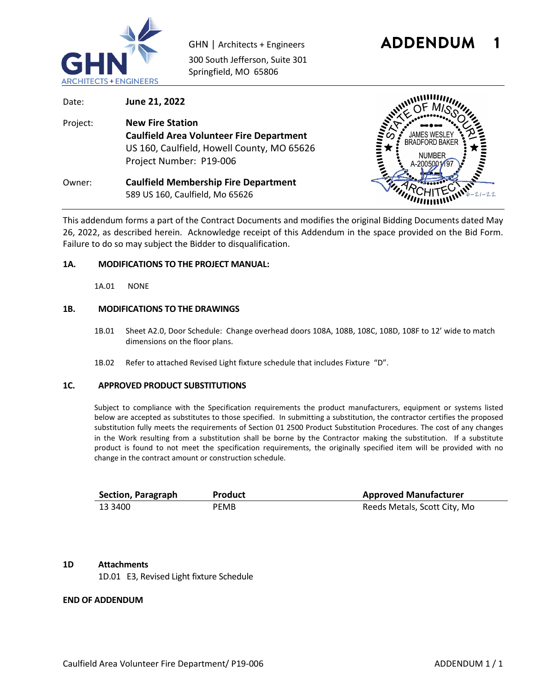

300 South Jefferson, Suite 301 Springfield, MO 65806



Date: **June 21, 2022** Project: **New Fire Station Caulfield Area Volunteer Fire Department** US 160, Caulfield, Howell County, MO 65626 Project Number: P19-006 Owner: **Caulfield Membership Fire Department**  589 US 160, Caulfield, Mo 65626



This addendum forms a part of the Contract Documents and modifies the original Bidding Documents dated May 26, 2022, as described herein. Acknowledge receipt of this Addendum in the space provided on the Bid Form. Failure to do so may subject the Bidder to disqualification.

#### **1A. MODIFICATIONS TO THE PROJECT MANUAL:**

1A.01 NONE

### **1B. MODIFICATIONS TO THE DRAWINGS**

- 1B.01 Sheet A2.0, Door Schedule: Change overhead doors 108A, 108B, 108C, 108D, 108F to 12' wide to match dimensions on the floor plans.
- 1B.02 Refer to attached Revised Light fixture schedule that includes Fixture "D".

#### **1C. APPROVED PRODUCT SUBSTITUTIONS**

Subject to compliance with the Specification requirements the product manufacturers, equipment or systems listed below are accepted as substitutes to those specified. In submitting a substitution, the contractor certifies the proposed substitution fully meets the requirements of Section 01 2500 Product Substitution Procedures. The cost of any changes in the Work resulting from a substitution shall be borne by the Contractor making the substitution. If a substitute product is found to not meet the specification requirements, the originally specified item will be provided with no change in the contract amount or construction schedule.

| Section, Paragraph | <b>Product</b> | <b>Approved Manufacturer</b> |
|--------------------|----------------|------------------------------|
| 13 3400            | PEMB           | Reeds Metals, Scott City, Mo |

# **1D Attachments**

1D.01 E3, Revised Light fixture Schedule

## **END OF ADDENDUM**